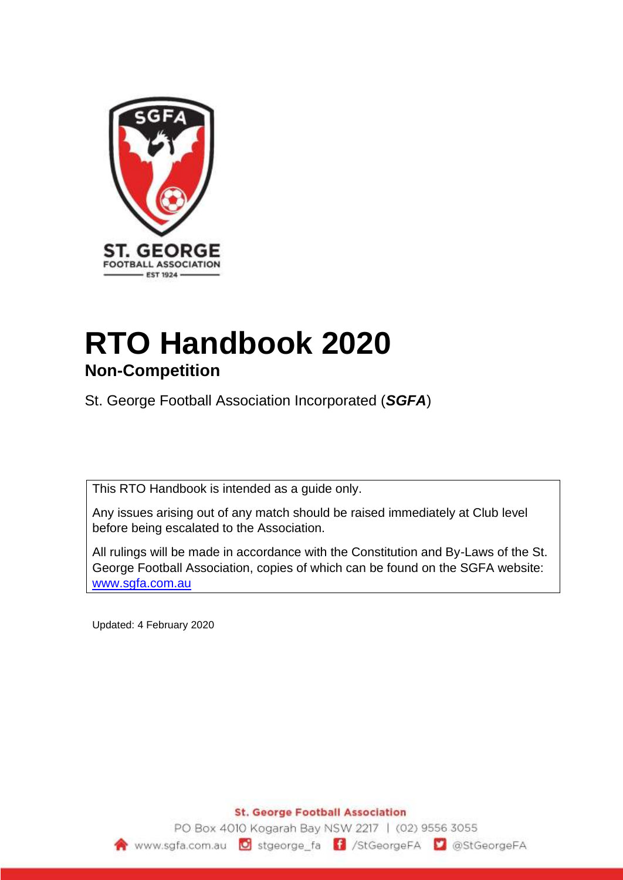

# **RTO Handbook 2020 Non-Competition**

St. George Football Association Incorporated (*SGFA*)

This RTO Handbook is intended as a guide only.

Any issues arising out of any match should be raised immediately at Club level before being escalated to the Association.

All rulings will be made in accordance with the Constitution and By-Laws of the St. George Football Association, copies of which can be found on the SGFA website: [www.sgfa.com.au](http://www.sgfa.com.au/)

Updated: 4 February 2020

**St. George Football Association** 

PO Box 4010 Kogarah Bay NSW 2217 | (02) 9556 3055 www.sgfa.com.au G stgeorge\_fa F /StGeorgeFA G @StGeorgeFA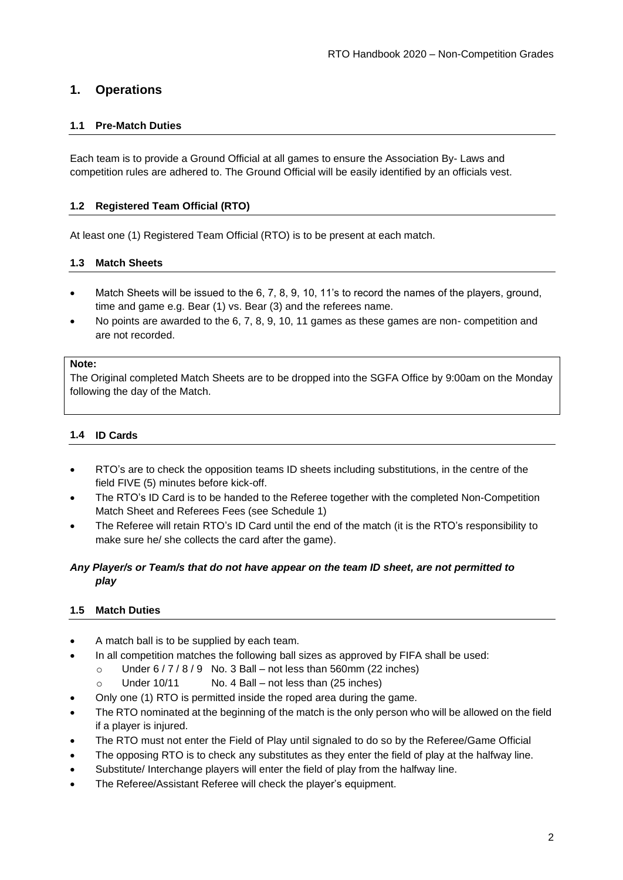# **1. Operations**

# **1.1 Pre-Match Duties**

Each team is to provide a Ground Official at all games to ensure the Association By- Laws and competition rules are adhered to. The Ground Official will be easily identified by an officials vest.

## **1.2 Registered Team Official (RTO)**

At least one (1) Registered Team Official (RTO) is to be present at each match.

#### **1.3 Match Sheets**

- Match Sheets will be issued to the 6, 7, 8, 9, 10, 11's to record the names of the players, ground, time and game e.g. Bear (1) vs. Bear (3) and the referees name.
- No points are awarded to the 6, 7, 8, 9, 10, 11 games as these games are non- competition and are not recorded.

#### **Note:**

The Original completed Match Sheets are to be dropped into the SGFA Office by 9:00am on the Monday following the day of the Match.

## **1.4 ID Cards**

- RTO's are to check the opposition teams ID sheets including substitutions, in the centre of the field FIVE (5) minutes before kick-off.
- The RTO's ID Card is to be handed to the Referee together with the completed Non-Competition Match Sheet and Referees Fees (see Schedule 1)
- The Referee will retain RTO's ID Card until the end of the match (it is the RTO's responsibility to make sure he/ she collects the card after the game).

# *Any Player/s or Team/s that do not have appear on the team ID sheet, are not permitted to play*

#### **1.5 Match Duties**

- A match ball is to be supplied by each team.
	- In all competition matches the following ball sizes as approved by FIFA shall be used:
		- o Under  $6/7/8/9$  No. 3 Ball not less than 560mm (22 inches)
		- o Under 10/11 No. 4 Ball not less than (25 inches)
- Only one (1) RTO is permitted inside the roped area during the game.
- The RTO nominated at the beginning of the match is the only person who will be allowed on the field if a player is injured.
- The RTO must not enter the Field of Play until signaled to do so by the Referee/Game Official
- The opposing RTO is to check any substitutes as they enter the field of play at the halfway line.
- Substitute/ Interchange players will enter the field of play from the halfway line.
- The Referee/Assistant Referee will check the player's equipment.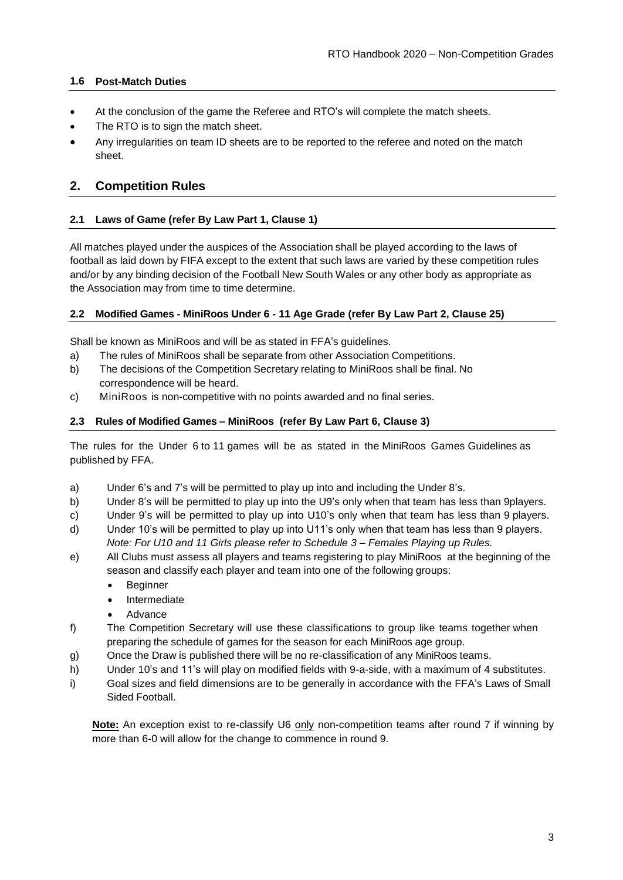## **1.6 Post-Match Duties**

- At the conclusion of the game the Referee and RTO's will complete the match sheets.
- The RTO is to sign the match sheet.
- Any irregularities on team ID sheets are to be reported to the referee and noted on the match sheet.

# **2. Competition Rules**

## **2.1 Laws of Game (refer By Law Part 1, Clause 1)**

All matches played under the auspices of the Association shall be played according to the laws of football as laid down by FIFA except to the extent that such laws are varied by these competition rules and/or by any binding decision of the Football New South Wales or any other body as appropriate as the Association may from time to time determine.

#### **2.2 Modified Games - MiniRoos Under 6 - 11 Age Grade (refer By Law Part 2, Clause 25)**

Shall be known as MiniRoos and will be as stated in FFA's guidelines.

- a) The rules of MiniRoos shall be separate from other Association Competitions.
- b) The decisions of the Competition Secretary relating to MiniRoos shall be final. No correspondence will be heard.
- c) MiniRoos is non-competitive with no points awarded and no final series.

#### **2.3 Rules of Modified Games – MiniRoos (refer By Law Part 6, Clause 3)**

The rules for the Under 6 to 11 games will be as stated in the MiniRoos Games Guidelines as published by FFA.

- a) Under 6's and 7's will be permitted to play up into and including the Under 8's.
- b) Under 8's will be permitted to play up into the U9's only when that team has less than 9players.
- c) Under 9's will be permitted to play up into U10's only when that team has less than 9 players.
- d) Under 10's will be permitted to play up into U11's only when that team has less than 9 players. *Note: For U10 and 11 Girls please refer to Schedule 3 – Females Playing up Rules.*
- e) All Clubs must assess all players and teams registering to play MiniRoos at the beginning of the season and classify each player and team into one of the following groups:
	- Beginner
	- Intermediate
	- Advance
- f) The Competition Secretary will use these classifications to group like teams together when preparing the schedule of games for the season for each MiniRoos age group.
- g) Once the Draw is published there will be no re-classification of any MiniRoos teams.
- h) Under 10's and 11's will play on modified fields with 9-a-side, with a maximum of 4 substitutes.
- i) Goal sizes and field dimensions are to be generally in accordance with the FFA's Laws of Small Sided Football.

Note: An exception exist to re-classify U6 only non-competition teams after round 7 if winning by more than 6-0 will allow for the change to commence in round 9.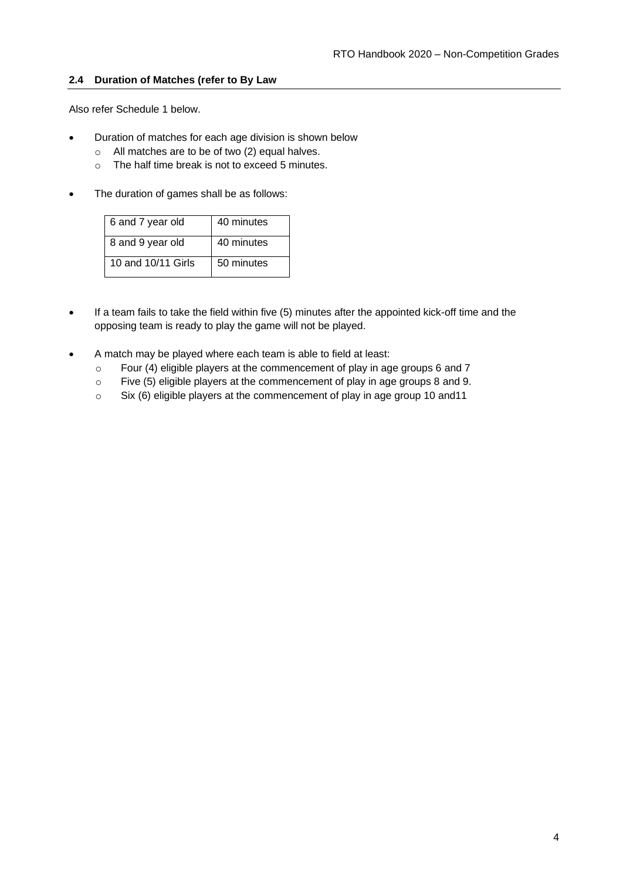## **2.4 Duration of Matches (refer to By Law**

Also refer Schedule 1 below.

- Duration of matches for each age division is shown below
	- o All matches are to be of two (2) equal halves.
	- o The half time break is not to exceed 5 minutes.
- The duration of games shall be as follows:

| 6 and 7 year old   | 40 minutes |
|--------------------|------------|
| 8 and 9 year old   | 40 minutes |
|                    |            |
|                    |            |
| 10 and 10/11 Girls | 50 minutes |
|                    |            |
|                    |            |

- If a team fails to take the field within five (5) minutes after the appointed kick-off time and the opposing team is ready to play the game will not be played.
- A match may be played where each team is able to field at least:
	- o Four (4) eligible players at the commencement of play in age groups 6 and 7
	- o Five (5) eligible players at the commencement of play in age groups 8 and 9.
	- o Six (6) eligible players at the commencement of play in age group 10 and11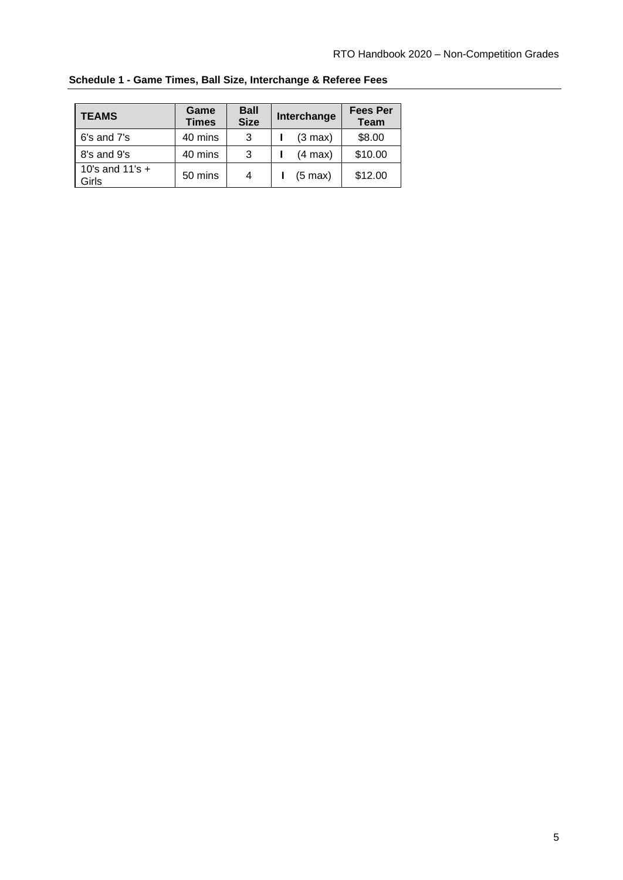| <b>TEAMS</b>               | Game<br><b>Times</b> | <b>Ball</b><br><b>Size</b> | Interchange       | <b>Fees Per</b><br><b>Team</b> |
|----------------------------|----------------------|----------------------------|-------------------|--------------------------------|
| 6's and 7's                | 40 mins              | 3                          | $(3 \text{ max})$ | \$8.00                         |
| 8's and 9's                | 40 mins              | 3                          | $(4 \text{ max})$ | \$10.00                        |
| 10's and $11's +$<br>Girls | 50 mins              | 4                          | $(5 \text{ max})$ | \$12.00                        |

**Schedule 1 - Game Times, Ball Size, Interchange & Referee Fees**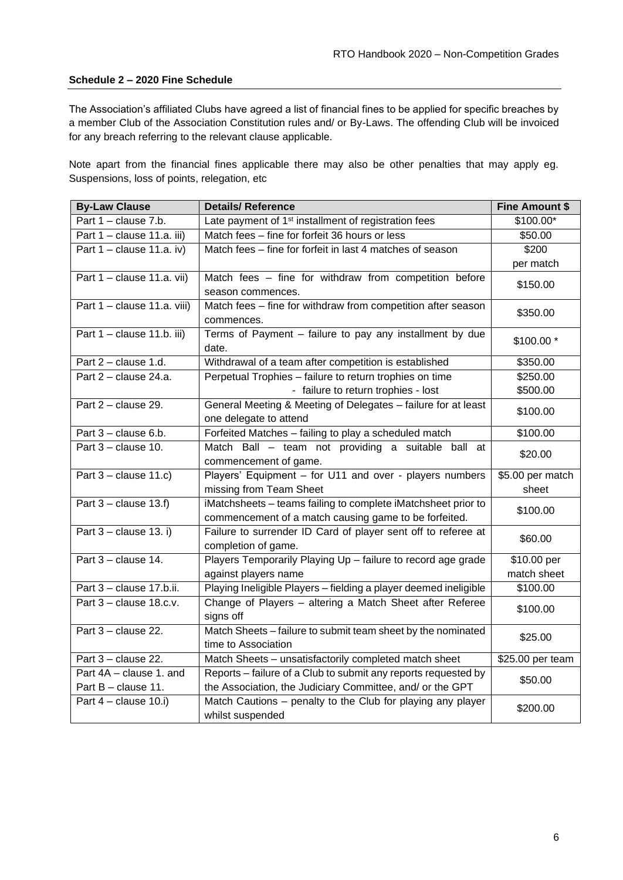#### **Schedule 2 – 2020 Fine Schedule**

The Association's affiliated Clubs have agreed a list of financial fines to be applied for specific breaches by a member Club of the Association Constitution rules and/ or By-Laws. The offending Club will be invoiced for any breach referring to the relevant clause applicable.

Note apart from the financial fines applicable there may also be other penalties that may apply eg. Suspensions, loss of points, relegation, etc

| <b>By-Law Clause</b>        | <b>Details/ Reference</b>                                        | <b>Fine Amount \$</b> |  |
|-----------------------------|------------------------------------------------------------------|-----------------------|--|
| Part 1 - clause 7.b.        | Late payment of 1 <sup>st</sup> installment of registration fees | \$100.00*             |  |
| Part 1 - clause 11.a. iii)  | Match fees - fine for forfeit 36 hours or less                   | \$50.00               |  |
| Part $1 -$ clause 11.a. iv) | Match fees - fine for forfeit in last 4 matches of season        | \$200                 |  |
|                             |                                                                  | per match             |  |
| Part 1 - clause 11.a. vii)  | Match fees - fine for withdraw from competition before           | \$150.00              |  |
|                             | season commences.                                                |                       |  |
| Part 1 - clause 11.a. viii) | Match fees - fine for withdraw from competition after season     | \$350.00              |  |
|                             | commences.                                                       |                       |  |
| Part 1 - clause 11.b. iii)  | Terms of Payment - failure to pay any installment by due         | \$100.00 *            |  |
|                             | date.                                                            |                       |  |
| Part $2$ – clause 1.d.      | Withdrawal of a team after competition is established            | \$350.00              |  |
| Part 2 - clause 24.a.       | Perpetual Trophies - failure to return trophies on time          | \$250.00              |  |
|                             | - failure to return trophies - lost                              | \$500.00              |  |
| Part 2 - clause 29.         | General Meeting & Meeting of Delegates - failure for at least    | \$100.00              |  |
|                             | one delegate to attend                                           |                       |  |
| Part 3 - clause 6.b.        | Forfeited Matches - failing to play a scheduled match            | \$100.00              |  |
| Part $3$ – clause 10.       | Match Ball - team not providing a suitable ball at               | \$20.00               |  |
|                             | commencement of game.                                            |                       |  |
| Part $3$ – clause 11.c)     | Players' Equipment - for U11 and over - players numbers          | \$5.00 per match      |  |
|                             | missing from Team Sheet                                          | sheet                 |  |
| Part $3$ – clause 13.f)     | iMatchsheets - teams failing to complete iMatchsheet prior to    | \$100.00              |  |
|                             | commencement of a match causing game to be forfeited.            |                       |  |
| Part $3$ – clause 13. i)    | Failure to surrender ID Card of player sent off to referee at    | \$60.00               |  |
|                             | completion of game.                                              |                       |  |
| Part 3 - clause 14.         | Players Temporarily Playing Up - failure to record age grade     | \$10.00 per           |  |
|                             | against players name                                             | match sheet           |  |
| Part 3 - clause 17.b.ii.    | Playing Ineligible Players - fielding a player deemed ineligible | \$100.00              |  |
| Part 3 - clause 18.c.v.     | Change of Players - altering a Match Sheet after Referee         | \$100.00              |  |
|                             | signs off                                                        |                       |  |
| Part 3 - clause 22.         | Match Sheets - failure to submit team sheet by the nominated     | \$25.00               |  |
|                             | time to Association                                              |                       |  |
| Part 3 - clause 22.         | Match Sheets - unsatisfactorily completed match sheet            | \$25.00 per team      |  |
| Part 4A - clause 1. and     | Reports - failure of a Club to submit any reports requested by   | \$50.00               |  |
| Part B - clause 11.         | the Association, the Judiciary Committee, and/ or the GPT        |                       |  |
| Part $4$ – clause 10.i)     | Match Cautions - penalty to the Club for playing any player      | \$200.00              |  |
|                             | whilst suspended                                                 |                       |  |